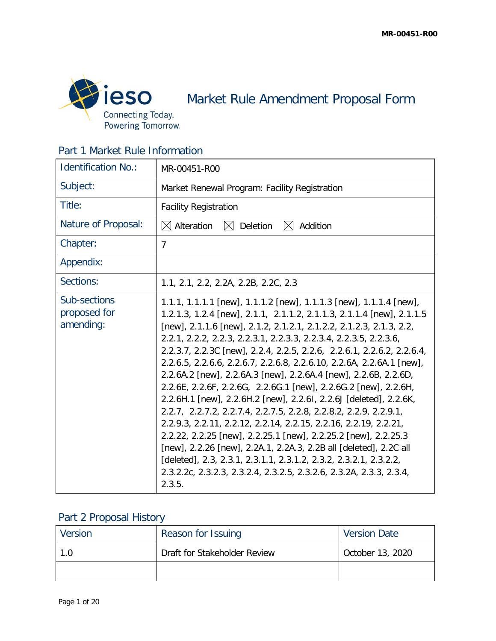

Market Rule Amendment Proposal Form

|  |  |  | Part 1 Market Rule Information |
|--|--|--|--------------------------------|
|--|--|--|--------------------------------|

| <b>Identification No.:</b>                | MR-00451-R00                                                                                                                                                                                                                                                                                                                                                                                                                                                                                                                                                                                                                                                                                                                                                                                                                                                                                                                                                                                                                                                                                |
|-------------------------------------------|---------------------------------------------------------------------------------------------------------------------------------------------------------------------------------------------------------------------------------------------------------------------------------------------------------------------------------------------------------------------------------------------------------------------------------------------------------------------------------------------------------------------------------------------------------------------------------------------------------------------------------------------------------------------------------------------------------------------------------------------------------------------------------------------------------------------------------------------------------------------------------------------------------------------------------------------------------------------------------------------------------------------------------------------------------------------------------------------|
| Subject:                                  | Market Renewal Program: Facility Registration                                                                                                                                                                                                                                                                                                                                                                                                                                                                                                                                                                                                                                                                                                                                                                                                                                                                                                                                                                                                                                               |
| Title:                                    | <b>Facility Registration</b>                                                                                                                                                                                                                                                                                                                                                                                                                                                                                                                                                                                                                                                                                                                                                                                                                                                                                                                                                                                                                                                                |
| Nature of Proposal:                       | $\boxtimes$ Alteration<br>Deletion<br>Addition<br>$\mathbb{X}$<br>$\mathbb{X}$                                                                                                                                                                                                                                                                                                                                                                                                                                                                                                                                                                                                                                                                                                                                                                                                                                                                                                                                                                                                              |
| Chapter:                                  | $\overline{7}$                                                                                                                                                                                                                                                                                                                                                                                                                                                                                                                                                                                                                                                                                                                                                                                                                                                                                                                                                                                                                                                                              |
| Appendix:                                 |                                                                                                                                                                                                                                                                                                                                                                                                                                                                                                                                                                                                                                                                                                                                                                                                                                                                                                                                                                                                                                                                                             |
| Sections:                                 | 1.1, 2.1, 2.2, 2.2A, 2.2B, 2.2C, 2.3                                                                                                                                                                                                                                                                                                                                                                                                                                                                                                                                                                                                                                                                                                                                                                                                                                                                                                                                                                                                                                                        |
| Sub-sections<br>proposed for<br>amending: | 1.1.1, 1.1.1.1 [new], 1.1.1.2 [new], 1.1.1.3 [new], 1.1.1.4 [new],<br>1.2.1.3, 1.2.4 [new], 2.1.1, 2.1.1.2, 2.1.1.3, 2.1.1.4 [new], 2.1.1.5<br>[new], 2.1.1.6 [new], 2.1.2, 2.1.2.1, 2.1.2.2, 2.1.2.3, 2.1.3, 2.2,<br>2.2.1, 2.2.2, 2.2.3, 2.2.3.1, 2.2.3.3, 2.2.3.4, 2.2.3.5, 2.2.3.6,<br>2.2.3.7, 2.2.3C [new], 2.2.4, 2.2.5, 2.2.6, 2.2.6.1, 2.2.6.2, 2.2.6.4,<br>2.2.6.5, 2.2.6.6, 2.2.6.7, 2.2.6.8, 2.2.6.10, 2.2.6A, 2.2.6A.1 [new],<br>2.2.6A.2 [new], 2.2.6A.3 [new], 2.2.6A.4 [new], 2.2.6B, 2.2.6D,<br>2.2.6E, 2.2.6F, 2.2.6G, 2.2.6G.1 [new], 2.2.6G.2 [new], 2.2.6H,<br>2.2.6H.1 [new], 2.2.6H.2 [new], 2.2.6I, 2.2.6J [deleted], 2.2.6K,<br>2.2.7, 2.2.7.2, 2.2.7.4, 2.2.7.5, 2.2.8, 2.2.8.2, 2.2.9, 2.2.9.1,<br>2.2.9.3, 2.2.11, 2.2.12, 2.2.14, 2.2.15, 2.2.16, 2.2.19, 2.2.21,<br>2.2.22, 2.2.25 [new], 2.2.25.1 [new], 2.2.25.2 [new], 2.2.25.3<br>[new], 2.2.26 [new], 2.2A.1, 2.2A.3, 2.2B all [deleted], 2.2C all<br>[deleted], 2.3, 2.3.1, 2.3.1.1, 2.3.1.2, 2.3.2, 2.3.2.1, 2.3.2.2,<br>2.3.2.2c, 2.3.2.3, 2.3.2.4, 2.3.2.5, 2.3.2.6, 2.3.2A, 2.3.3, 2.3.4,<br>2.3.5. |

# Part 2 Proposal History

| Version | Reason for Issuing           | Version Date     |
|---------|------------------------------|------------------|
| 1.0     | Draft for Stakeholder Review | October 13, 2020 |
|         |                              |                  |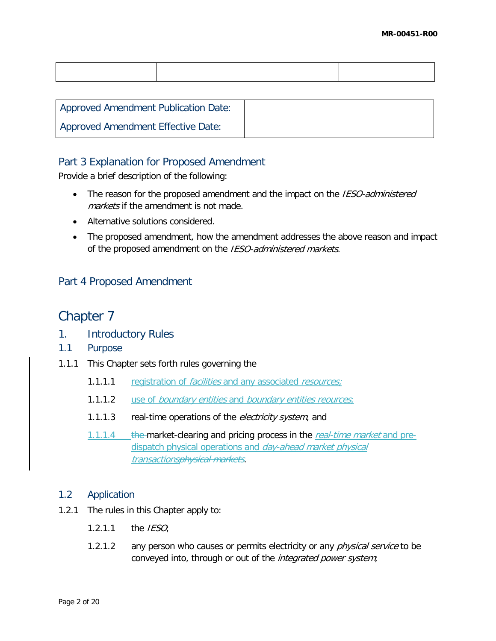| <b>Approved Amendment Publication Date:</b> |  |
|---------------------------------------------|--|
| Approved Amendment Effective Date:          |  |

## Part 3 Explanation for Proposed Amendment

Provide a brief description of the following:

- The reason for the proposed amendment and the impact on the *IESO-administered* markets if the amendment is not made.
- Alternative solutions considered.
- The proposed amendment, how the amendment addresses the above reason and impact of the proposed amendment on the IESO-administered markets.

# Part 4 Proposed Amendment

# Chapter 7

- 1. Introductory Rules
- 1.1 Purpose
- 1.1.1 This Chapter sets forth rules governing the
	- 1.1.1.1 registration of *facilities* and any associated *resources*;
	- 1.1.1.2 use of *boundary entities* and *boundary entities reources*;
	- 1.1.1.3 real-time operations of the *electricity system*, and
	- 1.1.1.4 the market-clearing and pricing process in the real-time market and predispatch physical operations and *day-ahead market physical* transactionsphysical markets.

## 1.2 Application

- 1.2.1 The rules in this Chapter apply to:
	- $1.2.1.1$  the IESO;
	- 1.2.1.2 any person who causes or permits electricity or any *physical service* to be conveyed into, through or out of the *integrated power system*;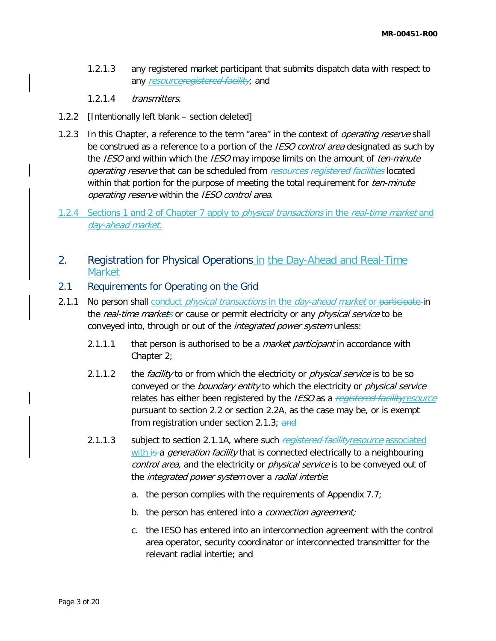- 1.2.1.3 any registered market participant that submits dispatch data with respect to any resourceregistered facility; and
- 1.2.1.4 transmitters.
- 1.2.2 [Intentionally left blank section deleted]
- 1.2.3 In this Chapter, a reference to the term "area" in the context of *operating reserve* shall be construed as a reference to a portion of the IESO control area designated as such by the IESO and within which the IESO may impose limits on the amount of ten-minute operating reserve that can be scheduled from resources registered facilities located within that portion for the purpose of meeting the total requirement for *ten-minute* operating reserve within the IESO control area.
- 1.2.4 Sections 1 and 2 of Chapter 7 apply to *physical transactions* in the *real-time market* and day-ahead market.
- 2. Registration for Physical Operations in the Day-Ahead and Real-Time Market
- 2.1 Requirements for Operating on the Grid
- 2.1.1 No person shall conduct *physical transactions* in the *day-ahead market* or participate in the real-time markets or cause or permit electricity or any physical service to be conveyed into, through or out of the *integrated power system* unless:
	- 2.1.1.1 that person is authorised to be a *market participant* in accordance with Chapter 2;
	- 2.1.1.2 the *facility* to or from which the electricity or *physical service* is to be so conveyed or the *boundary entity* to which the electricity or *physical service* relates has either been registered by the IESO as a registered facility resource pursuant to section 2.2 or section 2.2A, as the case may be, or is exempt from registration under section 2.1.3; and
	- 2.1.1.3 subject to section 2.1.1A, where such registered facility resource associated with is a *generation facility* that is connected electrically to a neighbouring control area, and the electricity or *physical service* is to be conveyed out of the *integrated power system* over a *radial intertie*:
		- a. the person complies with the requirements of Appendix 7.7;
		- b. the person has entered into a *connection agreement;*
		- c. the IESO has entered into an interconnection agreement with the control area operator, security coordinator or interconnected transmitter for the relevant radial intertie; and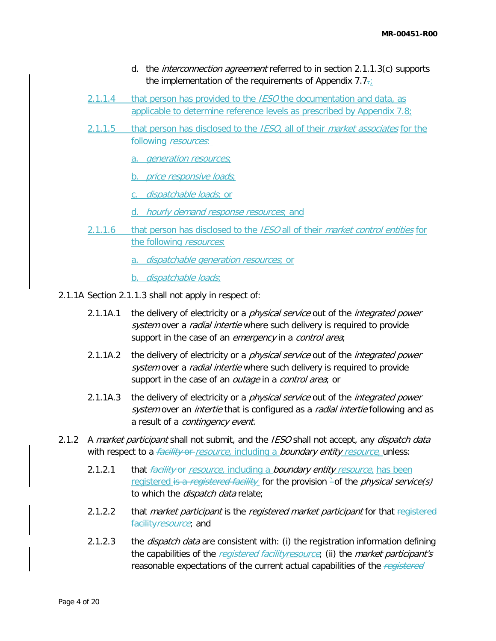- d. the *interconnection agreement* referred to in section 2.1.1.3(c) supports the implementation of the requirements of Appendix  $7.7\div$
- 2.1.1.4 that person has provided to the *IESO* the documentation and data, as applicable to determine reference levels as prescribed by Appendix 7.8;
- 2.1.1.5 that person has disclosed to the IESO, all of their market associates for the following *resources*:
	- a. generation resources;
	- b. *price responsive loads*;
	- c. dispatchable loads; or
	- d. hourly demand response resources; and
- 2.1.1.6 that person has disclosed to the *IESO* all of their *market control entities* for the following *resources*:
	- a. dispatchable generation resources; or
	- b. *dispatchable loads*;
- 2.1.1A Section 2.1.1.3 shall not apply in respect of:
	- 2.1.1A.1 the delivery of electricity or a *physical service* out of the *integrated power* system over a *radial intertie* where such delivery is required to provide support in the case of an *emergency* in a *control area*;
	- 2.1.1A.2 the delivery of electricity or a *physical service* out of the *integrated power* system over a *radial intertie* where such delivery is required to provide support in the case of an *outage* in a *control area*; or
	- 2.1.1A.3 the delivery of electricity or a *physical service* out of the *integrated power* system over an *intertie* that is configured as a *radial intertie* following and as a result of a *contingency event*.
- 2.1.2 A market participant shall not submit, and the IESO shall not accept, any dispatch data with respect to a *facility* or resource, including a *boundary entity resource*, unless:
	- 2.1.2.1 that *facility* or *resource*, including a *boundary entity resource*, has been registered is a registered facility for the provision  $\text{-}$ of the *physical service(s)* to which the *dispatch data* relate;
	- 2.1.2.2 that *market participant* is the *registered market participant* for that registered facility resource; and
	- 2.1.2.3 the *dispatch data* are consistent with: (i) the registration information defining the capabilities of the registered facility resource; (ii) the market participant's reasonable expectations of the current actual capabilities of the registered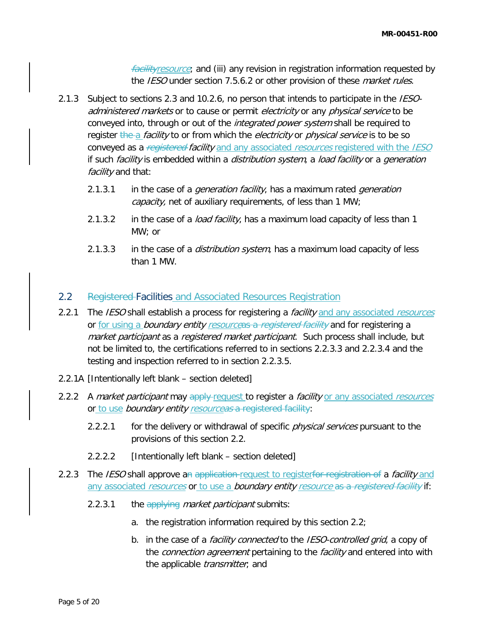*facilityresource*; and (iii) any revision in registration information requested by the IESO under section 7.5.6.2 or other provision of these *market rules*.

- 2.1.3 Subject to sections 2.3 and 10.2.6, no person that intends to participate in the IESOadministered markets or to cause or permit electricity or any physical service to be conveyed into, through or out of the *integrated power system* shall be required to register the a *facility* to or from which the *electricity* or *physical service* is to be so conveyed as a registered facility and any associated resources registered with the IESO if such facility is embedded within a distribution system, a load facility or a generation facility and that:
	- 2.1.3.1 in the case of a *generation facility*, has a maximum rated *generation* capacity, net of auxiliary requirements, of less than 1 MW;
	- 2.1.3.2 in the case of a *load facility*, has a maximum load capacity of less than 1 MW; or
	- 2.1.3.3 in the case of a *distribution system*, has a maximum load capacity of less than 1 MW.

## 2.2 Registered-Facilities and Associated Resources Registration

- 2.2.1 The *IESO* shall establish a process for registering a *facility* and any associated *resources* or for using a boundary entity resourceas a registered facility and for registering a market participant as a registered market participant. Such process shall include, but not be limited to, the certifications referred to in sections 2.2.3.3 and 2.2.3.4 and the testing and inspection referred to in section 2.2.3.5.
- 2.2.1A [Intentionally left blank section deleted]
- 2.2.2 A market participant may apply request to register a facility or any associated resources or to use boundary entity resourceas a registered facility:
	- 2.2.2.1 for the delivery or withdrawal of specific *physical services* pursuant to the provisions of this section 2.2.
	- 2.2.2.2 [Intentionally left blank section deleted]
- 2.2.3 The *IESO* shall approve an application-request to registerfor registration of a *facility* and any associated resources or to use a boundary entity resource as a registered facility if:
	- 2.2.3.1 the applying market participant submits:
		- a. the registration information required by this section 2.2;
		- b. in the case of a *facility connected* to the *IESO-controlled grid*, a copy of the *connection agreement* pertaining to the *facility* and entered into with the applicable *transmitter*, and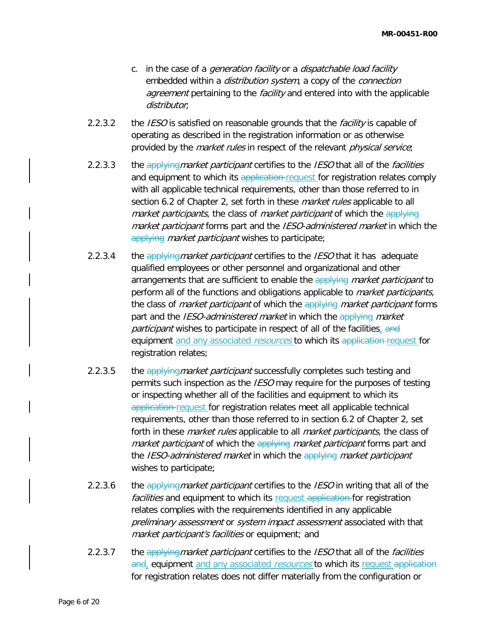- c. in the case of a *generation facility* or a *dispatchable load facility* embedded within a *distribution system*, a copy of the *connection* agreement pertaining to the facility and entered into with the applicable distributor;
- 2.2.3.2 the IESO is satisfied on reasonable grounds that the facility is capable of operating as described in the registration information or as otherwise provided by the *market rules* in respect of the relevant *physical service*;
- 2.2.3.3 the applying market participant certifies to the IESO that all of the facilities and equipment to which its application request for registration relates comply with all applicable technical requirements, other than those referred to in section 6.2 of Chapter 2, set forth in these *market rules* applicable to all market participants, the class of market participant of which the applying market participant forms part and the IESO-administered market in which the applying *market participant* wishes to participate;
- 2.2.3.4 the applying market participant certifies to the IESO that it has adequate qualified employees or other personnel and organizational and other arrangements that are sufficient to enable the applying market participant to perform all of the functions and obligations applicable to *market participants*, the class of *market participant* of which the applying *market participant* forms part and the *IESO-administered market* in which the applying market participant wishes to participate in respect of all of the facilities, and equipment and any associated resources to which its application request for registration relates;
- 2.2.3.5 the applying market participant successfully completes such testing and permits such inspection as the *IESO* may require for the purposes of testing or inspecting whether all of the facilities and equipment to which its application request for registration relates meet all applicable technical requirements, other than those referred to in section 6.2 of Chapter 2, set forth in these *market rules* applicable to all *market participants*, the class of market participant of which the applying market participant forms part and the IESO-administered market in which the applying market participant wishes to participate;
- 2.2.3.6 the applying market participant certifies to the IESO in writing that all of the facilities and equipment to which its request application for registration relates complies with the requirements identified in any applicable preliminary assessment or system impact assessment associated with that market participant's facilities or equipment; and
- 2.2.3.7 the applying market participant certifies to the IESO that all of the facilities and, equipment and any associated *resources* to which its request application for registration relates does not differ materially from the configuration or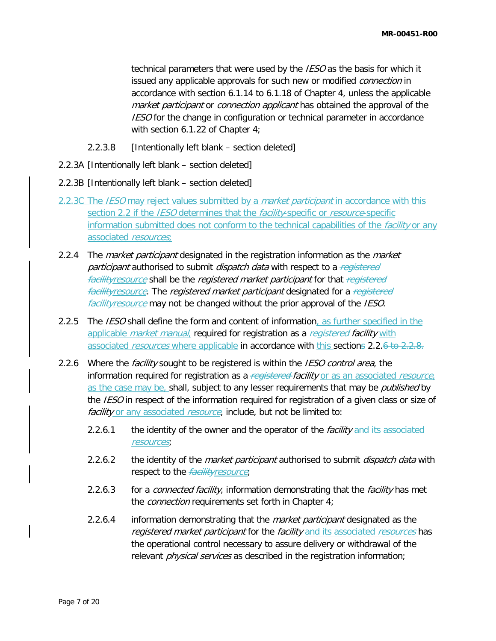technical parameters that were used by the *IESO* as the basis for which it issued any applicable approvals for such new or modified *connection* in accordance with section 6.1.14 to 6.1.18 of Chapter 4, unless the applicable market participant or connection applicant has obtained the approval of the **IESO** for the change in configuration or technical parameter in accordance with section 6.1.22 of Chapter 4;

- 2.2.3.8 [Intentionally left blank section deleted]
- 2.2.3A [Intentionally left blank section deleted]
- 2.2.3B [Intentionally left blank section deleted]
- 2.2.3C The *IESO* may reject values submitted by a *market participant* in accordance with this section 2.2 if the IESO determines that the facility-specific or resource-specific information submitted does not conform to the technical capabilities of the *facility* or any associated resources;
- 2.2.4 The *market participant* designated in the registration information as the *market* participant authorised to submit dispatch data with respect to a registered facilityresource shall be the registered market participant for that registered facilityresource. The registered market participant designated for a registered facilityresource may not be changed without the prior approval of the IESO.
- 2.2.5 The *IESO* shall define the form and content of information, as further specified in the applicable *market manual*, required for registration as a registered facility with associated *resources* where applicable in accordance with this sections 2.2.6 to 2.2.8.
- 2.2.6 Where the *facility* sought to be registered is within the *IESO control area*, the information required for registration as a registered facility or as an associated resource, as the case may be, shall, subject to any lesser requirements that may be *published* by the IESO in respect of the information required for registration of a given class or size of facility or any associated resource, include, but not be limited to:
	- 2.2.6.1 the identity of the owner and the operator of the *facility* and its associated resources;
	- 2.2.6.2 the identity of the *market participant* authorised to submit *dispatch data* with respect to the *facilityresource*;
	- 2.2.6.3 for a *connected facility*, information demonstrating that the *facility* has met the connection requirements set forth in Chapter 4;
	- 2.2.6.4 information demonstrating that the *market participant* designated as the registered market participant for the facility and its associated resources has the operational control necessary to assure delivery or withdrawal of the relevant *physical services* as described in the registration information;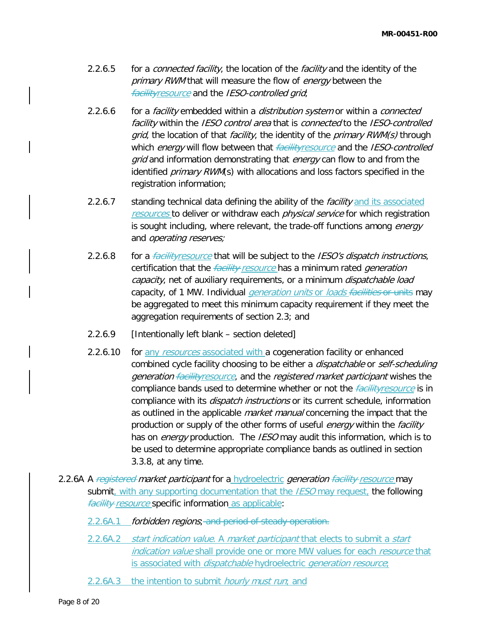- 2.2.6.5 for a *connected facility*, the location of the *facility* and the identity of the primary RWM that will measure the flow of energy between the **facilityresource** and the IESO-controlled grid;
- 2.2.6.6 for a *facility* embedded within a *distribution system* or within a *connected* facility within the IESO control area that is connected to the IESO-controlled grid, the location of that *facility*, the identity of the *primary RWM(s)* through which energy will flow between that **facilityresource** and the IESO-controlled *grid* and information demonstrating that *energy* can flow to and from the identified *primary RWM*(s) with allocations and loss factors specified in the registration information;
- 2.2.6.7 standing technical data defining the ability of the *facility* and its associated resources to deliver or withdraw each *physical service* for which registration is sought including, where relevant, the trade-off functions among energy and operating reserves;
- 2.2.6.8 for a *facilityresource* that will be subject to the *IESO's dispatch instructions*, certification that the *facility resource* has a minimum rated *generation* capacity, net of auxiliary requirements, or a minimum dispatchable load capacity, of 1 MW. Individual *generation units* or *loads facilities* or units may be aggregated to meet this minimum capacity requirement if they meet the aggregation requirements of section 2.3; and
- 2.2.6.9 [Intentionally left blank section deleted]
- 2.2.6.10 for any resources associated with a cogeneration facility or enhanced combined cycle facility choosing to be either a *dispatchable* or *self-scheduling* generation facilityresource, and the registered market participant wishes the compliance bands used to determine whether or not the *facilityresource* is in compliance with its *dispatch instructions* or its current schedule, information as outlined in the applicable *market manual* concerning the impact that the production or supply of the other forms of useful *energy* within the *facility* has on *energy* production. The *IESO* may audit this information, which is to be used to determine appropriate compliance bands as outlined in section 3.3.8, at any time.
- 2.2.6A A registered market participant for a hydroelectric generation facility resource may submit, with any supporting documentation that the *IESO* may request, the following facility resource specific information as applicable:
	- 2.2.6A.1 forbidden regions; and period of steady operation.
	- 2.2.6A.2 start indication value. A market participant that elects to submit a start indication value shall provide one or more MW values for each resource that is associated with *dispatchable* hydroelectric *generation resource*;
	- 2.2.6A.3 the intention to submit *hourly must run*; and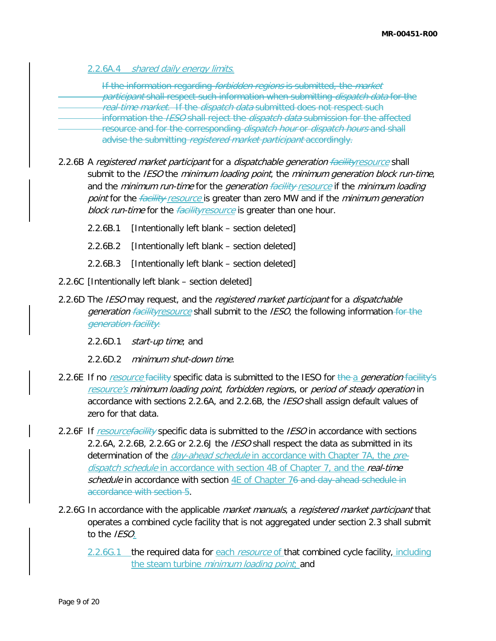2.2.6A.4 shared daily energy limits.

If the information regarding *forbidden regions* is submitted, the *market* participant shall respect such information when submitting *dispatch data* for the real-time market. If the dispatch data submitted does not respect such information the *IESO* shall reject the *dispatch data* submission for the affected resource and for the corresponding *dispatch hour* or *dispatch hours* and shall advise the submitting registered market participant accordingly.

- 2.2.6B A registered market participant for a dispatchable generation facility resource shall submit to the IESO the minimum loading point, the minimum generation block run-time, and the minimum run-time for the generation facility resource if the minimum loading point for the *facility resource* is greater than zero MW and if the *minimum generation* block run-time for the *facilityresource* is greater than one hour.
	- 2.2.6B.1 [Intentionally left blank section deleted]
	- 2.2.6B.2 [Intentionally left blank section deleted]
	- 2.2.6B.3 [Intentionally left blank section deleted]
- 2.2.6C [Intentionally left blank section deleted]
- 2.2.6D The *IESO* may request, and the *registered market participant* for a *dispatchable* generation facility resource shall submit to the IESO, the following information for the generation facility:
	- 2.2.6D.1 start-up time; and
	- 2.2.6D.2 minimum shut-down time.
- 2.2.6E If no *resource* facility specific data is submitted to the IESO for the a *generation* facility's resource's minimum loading point, forbidden regions, or period of steady operation in accordance with sections 2.2.6A, and 2.2.6B, the *IESO* shall assign default values of zero for that data.
- 2.2.6F If resourcefacility specific data is submitted to the IESO in accordance with sections 2.2.6A, 2.2.6B, 2.2.6G or 2.2.6J the IESO shall respect the data as submitted in its determination of the *day-ahead schedule* in accordance with Chapter 7A, the *pre*dispatch schedule in accordance with section 4B of Chapter 7, and the real-time schedule in accordance with section 4E of Chapter 76 and day-ahead schedule in accordance with section 5.
- 2.2.6G In accordance with the applicable *market manuals*, a *registered market participant* that operates a combined cycle facility that is not aggregated under section 2.3 shall submit to the *IESO*:
	- 2.2.6G.1 the required data for each *resource* of that combined cycle facility, including the steam turbine *minimum loading point*; and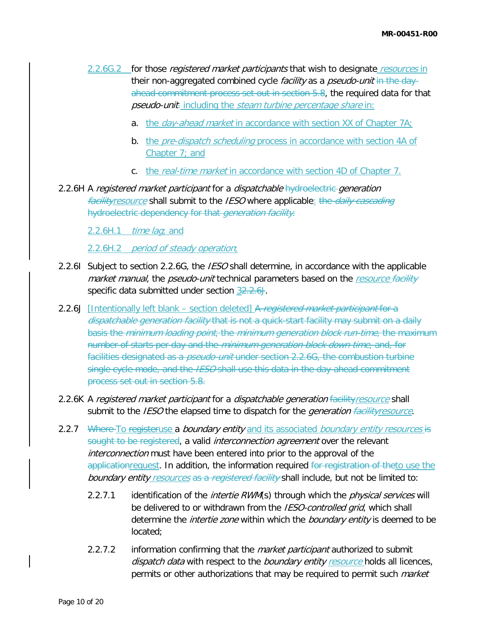- 2.2.6G.2 for those *registered market participants* that wish to designate *resources* in their non-aggregated combined cycle *facility* as a *pseudo-unit* in the dayahead commitment process set out in section 5.8, the required data for that pseudo-unit. including the steam turbine percentage share in:
	- a. the *day-ahead market* in accordance with section XX of Chapter 7A;
	- b. the *pre-dispatch scheduling* process in accordance with section 4A of Chapter 7; and
	- c. the real-time market in accordance with section 4D of Chapter 7.
- 2.2.6H A registered market participant for a dispatchable hydroelectric generation facilityresource shall submit to the *IESO* where applicable: the *daily cascading* hydroelectric dependency for that *generation facility*.

2.2.6H.1  $time$  lag; and

2.2.6H.2 period of steady operation;

- 2.2.6I Subject to section 2.2.6G, the *IESO* shall determine, in accordance with the applicable market manual, the pseudo-unit technical parameters based on the resource facility specific data submitted under section 32.2.6J.
- 2.2.6J [Intentionally left blank section deleted] A registered market participant for a dispatchable generation facility that is not a quick-start facility may submit on a daily basis the *minimum loading point*, the *minimum generation block run-time*, the maximum number of starts per day and the *minimum generation block down time*, and, for facilities designated as a *pseudo-unit* under section 2.2.6G, the combustion turbine single cycle mode, and the IESO shall use this data in the day-ahead commitment process set out in section 5.8.
- 2.2.6K A registered market participant for a dispatchable generation facility resource shall submit to the *IESO* the elapsed time to dispatch for the *generation facilityresource*.
- 2.2.7 Where To registeruse a *boundary entity* and its associated *boundary entity resources* is sought to be registered, a valid *interconnection agreement* over the relevant interconnection must have been entered into prior to the approval of the applicationrequest. In addition, the information required for registration of theto use the boundary entity resources as a registered facility shall include, but not be limited to:
	- 2.2.7.1 identification of the *intertie RWM*(s) through which the *physical services* will be delivered to or withdrawn from the IESO-controlled grid, which shall determine the *intertie zone* within which the *boundary entity* is deemed to be located;
	- 2.2.7.2 information confirming that the *market participant* authorized to submit dispatch data with respect to the boundary entity resource holds all licences, permits or other authorizations that may be required to permit such *market*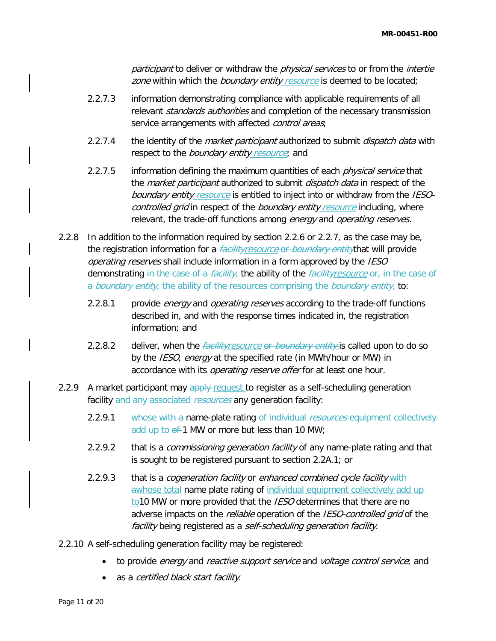participant to deliver or withdraw the *physical services* to or from the *intertie* zone within which the boundary entity resource is deemed to be located;

- 2.2.7.3 information demonstrating compliance with applicable requirements of all relevant standards authorities and completion of the necessary transmission service arrangements with affected *control areas*;
- 2.2.7.4 the identity of the *market participant* authorized to submit *dispatch data* with respect to the *boundary entity resource*; and
- 2.2.7.5 information defining the maximum quantities of each *physical service* that the *market participant* authorized to submit *dispatch data* in respect of the boundary entity resource is entitled to inject into or withdraw from the IESOcontrolled grid in respect of the boundary entity resource including, where relevant, the trade-off functions among energy and operating reserves.
- 2.2.8 In addition to the information required by section 2.2.6 or 2.2.7, as the case may be, the registration information for a *facilityresource* or *boundary entitythat will provide* operating reserves shall include information in a form approved by the IESO demonstrating in the case of a *facility*, the ability of the *facilityresource* or, in the case of a *boundary entity*, the ability of the resources comprising the *boundary entity*, to:
	- 2.2.8.1 provide *energy* and *operating reserves* according to the trade-off functions described in, and with the response times indicated in, the registration information; and
	- 2.2.8.2 deliver, when the *facilityresource* or *boundary entity* is called upon to do so by the IESO, energy at the specified rate (in MWh/hour or MW) in accordance with its *operating reserve offer* for at least one hour.
- 2.2.9 A market participant may apply-request to register as a self-scheduling generation facility and any associated resources any generation facility:
	- 2.2.9.1 whose with a name-plate rating of individual resources equipment collectively add up to  $\theta$  1 MW or more but less than 10 MW;
	- 2.2.9.2 that is a *commissioning generation facility* of any name-plate rating and that is sought to be registered pursuant to section 2.2A.1; or
	- 2.2.9.3 that is a cogeneration facility or enhanced combined cycle facility with awhose total name plate rating of individual equipment collectively add up to10 MW or more provided that the *IESO* determines that there are no adverse impacts on the *reliable* operation of the *IESO-controlled grid* of the facility being registered as a self-scheduling generation facility.
- 2.2.10 A self-scheduling generation facility may be registered:
	- to provide *energy* and *reactive support service* and *voltage control service*; and
	- as a certified black start facility.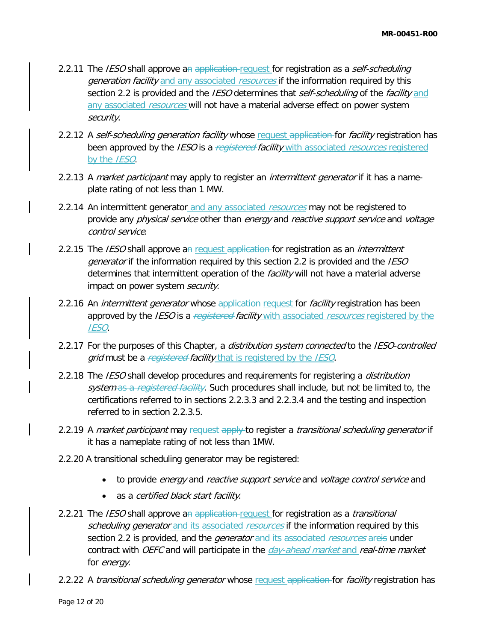- 2.2.11 The IESO shall approve an application request for registration as a self-scheduling generation facility and any associated resources if the information required by this section 2.2 is provided and the IESO determines that self-scheduling of the facility and any associated resources will not have a material adverse effect on power system security.
- 2.2.12 A self-scheduling generation facility whose request application for facility registration has been approved by the *IESO* is a *registered-facility* with associated *resources* registered by the IESO.
- 2.2.13 A market participant may apply to register an *intermittent generator* if it has a nameplate rating of not less than 1 MW.
- 2.2.14 An intermittent generator and any associated *resources* may not be registered to provide any *physical service* other than *energy* and *reactive support service* and *voltage* control service.
- 2.2.15 The IESO shall approve an request application for registration as an *intermittent* generator if the information required by this section 2.2 is provided and the IESO determines that intermittent operation of the facility will not have a material adverse impact on power system security.
- 2.2.16 An *intermittent generator* whose application-request for *facility* registration has been approved by the IESO is a registered facility with associated resources registered by the IESO.
- 2.2.17 For the purposes of this Chapter, a *distribution system connected* to the *IESO-controlled* grid must be a registered facility that is registered by the IESO.
- 2.2.18 The *IESO* shall develop procedures and requirements for registering a *distribution* system as a registered facility. Such procedures shall include, but not be limited to, the certifications referred to in sections 2.2.3.3 and 2.2.3.4 and the testing and inspection referred to in section 2.2.3.5.
- 2.2.19 A market participant may request apply to register a transitional scheduling generator if it has a nameplate rating of not less than 1MW.
- 2.2.20 A transitional scheduling generator may be registered:
	- to provide *energy* and *reactive support service* and *voltage control service* and
	- as a *certified black start facility*.
- 2.2.21 The *IESO* shall approve an application request for registration as a *transitional* scheduling generator and its associated resources if the information required by this section 2.2 is provided, and the *generator* and its associated *resources* areis under contract with OEFC and will participate in the *day-ahead market* and real-time market for *energy*.
- 2.2.22 A *transitional scheduling generator* whose request application for *facility* registration has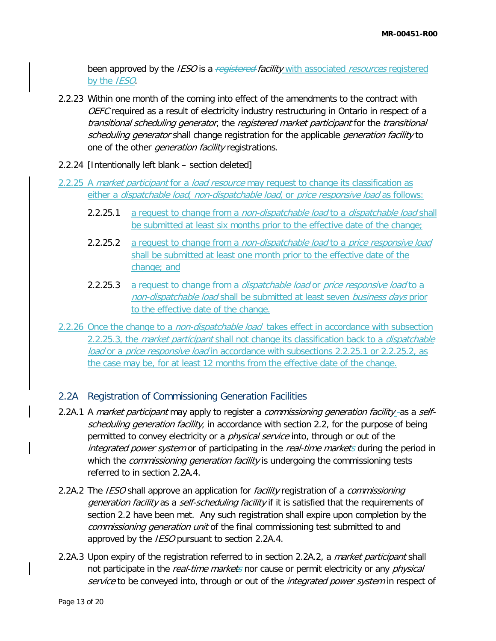been approved by the IESO is a registered facility with associated resources registered by the IESO.

- 2.2.23 Within one month of the coming into effect of the amendments to the contract with OEFC required as a result of electricity industry restructuring in Ontario in respect of a transitional scheduling generator, the registered market participant for the transitional scheduling generator shall change registration for the applicable *generation facility* to one of the other *generation facility* registrations.
- 2.2.24 [Intentionally left blank section deleted]
- 2.2.25 A *market participant* for a *load resource* may request to change its classification as either a *dispatchable load, non-dispatchable load,* or *price responsive load* as follows:
	- 2.2.25.1 a request to change from a non-dispatchable load to a dispatchable load shall be submitted at least six months prior to the effective date of the change;
	- 2.2.25.2 a request to change from a *non-dispatchable load* to a *price responsive load* shall be submitted at least one month prior to the effective date of the change; and
	- 2.2.25.3 a request to change from a *dispatchable load* or *price responsive load* to a non-dispatchable load shall be submitted at least seven business days prior to the effective date of the change.
- 2.2.26 Once the change to a *non-dispatchable load* takes effect in accordance with subsection 2.2.25.3, the *market participant* shall not change its classification back to a *dispatchable* load or a price responsive load in accordance with subsections 2.2.25.1 or 2.2.25.2, as the case may be, for at least 12 months from the effective date of the change.

## 2.2A Registration of Commissioning Generation Facilities

- 2.2A.1 A market participant may apply to register a commissioning generation facility as a selfscheduling generation facility, in accordance with section 2.2, for the purpose of being permitted to convey electricity or a *physical service* into, through or out of the integrated power system or of participating in the real-time markets during the period in which the *commissioning generation facility* is undergoing the commissioning tests referred to in section 2.2A.4.
- 2.2A.2 The *IESO* shall approve an application for *facility* registration of a *commissioning* generation facility as a self-scheduling facility if it is satisfied that the requirements of section 2.2 have been met. Any such registration shall expire upon completion by the commissioning generation unit of the final commissioning test submitted to and approved by the *IESO* pursuant to section 2.2A.4.
- 2.2A.3 Upon expiry of the registration referred to in section 2.2A.2, a *market participant* shall not participate in the *real-time markets* nor cause or permit electricity or any *physical* service to be conveyed into, through or out of the integrated power system in respect of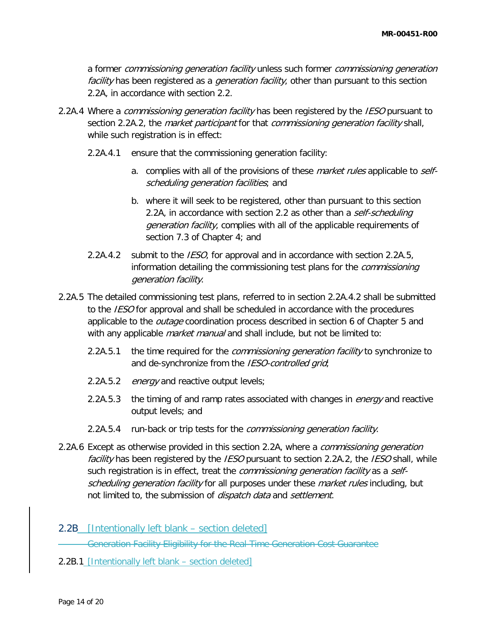a former commissioning generation facility unless such former commissioning generation facility has been registered as a *generation facility*, other than pursuant to this section 2.2A, in accordance with section 2.2.

- 2.2A.4 Where a commissioning generation facility has been registered by the IESO pursuant to section 2.2A.2, the *market participant* for that *commissioning generation facility* shall, while such registration is in effect:
	- 2.2A.4.1 ensure that the commissioning generation facility:
		- a. complies with all of the provisions of these *market rules* applicable to *self*scheduling generation facilities; and
		- b. where it will seek to be registered, other than pursuant to this section 2.2A, in accordance with section 2.2 as other than a self-scheduling generation facility, complies with all of the applicable requirements of section 7.3 of Chapter 4; and
	- 2.2A.4.2 submit to the *IESO*, for approval and in accordance with section 2.2A.5, information detailing the commissioning test plans for the *commissioning* generation facility.
- 2.2A.5 The detailed commissioning test plans, referred to in section 2.2A.4.2 shall be submitted to the *IESO* for approval and shall be scheduled in accordance with the procedures applicable to the *outage* coordination process described in section 6 of Chapter 5 and with any applicable *market manual* and shall include, but not be limited to:
	- 2.2A.5.1 the time required for the *commissioning generation facility* to synchronize to and de-synchronize from the IESO-controlled grid;
	- 2.2A.5.2 energy and reactive output levels;
	- 2.2A.5.3 the timing of and ramp rates associated with changes in *energy* and reactive output levels; and
	- 2.2A.5.4 run-back or trip tests for the *commissioning generation facility*.
- 2.2A.6 Except as otherwise provided in this section 2.2A, where a *commissioning generation* facility has been registered by the IESO pursuant to section 2.2A.2, the IESO shall, while such registration is in effect, treat the *commissioning generation facility* as a selfscheduling generation facility for all purposes under these market rules including, but not limited to, the submission of *dispatch data* and settlement.
- 2.2B [Intentionally left blank section deleted]

Generation Facility Eligibility for the Real-Time Generation Cost Guarantee

2.2B.1 [Intentionally left blank – section deleted]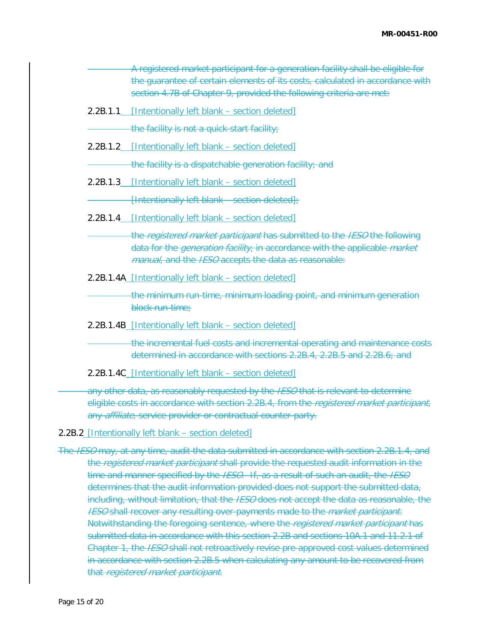| A registered market participant for a generation facility shall be eligible for<br>the quarantee of certain elements of its costs, calculated in accordance with<br>section 4.7B of Chapter 9, provided the following criteria are met: |
|-----------------------------------------------------------------------------------------------------------------------------------------------------------------------------------------------------------------------------------------|
| 2.2B.1.1 [Intentionally left blank - section deleted]                                                                                                                                                                                   |
| the facility is not a quick-start facility;                                                                                                                                                                                             |
| 2.2B.1.2 [Intentionally left blank – section deleted]                                                                                                                                                                                   |
| the facility is a dispatchable generation facility; and                                                                                                                                                                                 |
| 2.2B.1.3 [Intentionally left blank – section deleted]                                                                                                                                                                                   |
| $[$ Intentionally left blank – section deleted $]$ ;                                                                                                                                                                                    |
| 2.2B.1.4 [Intentionally left blank - section deleted]                                                                                                                                                                                   |
| the registered market participant has submitted to the IESO the following<br>data for the <i>generation facility</i> , in accordance with the applicable <i>market</i><br>manual, and the IESO accepts the data as reasonable:          |
| 2.2B.1.4A [Intentionally left blank - section deleted]                                                                                                                                                                                  |
| the minimum run-time, minimum loading point, and minimum generation<br>block run-time;                                                                                                                                                  |
| 2.2B.1.4B [Intentionally left blank - section deleted]                                                                                                                                                                                  |
| the incremental fuel costs and incremental operating and maintenance costs<br>determined in accordance with sections 2.2B.4, 2.2B.5 and 2.2B.6; and                                                                                     |
|                                                                                                                                                                                                                                         |

2.2B.1.4C [Intentionally left blank – section deleted]

any other data, as reasonably requested by the IESO that is relevant to determine eligible costs in accordance with section 2.2B.4, from the *registered market participant*, any *affiliate*, service provider or contractual counter-party.

#### 2.2B.2 [Intentionally left blank – section deleted]

The IESO may, at any time, audit the data submitted in accordance with section 2.2B.1.4, and the registered market participant shall provide the requested audit information in the time and manner specified by the IESO. If, as a result of such an audit, the IESO determines that the audit information provided does not support the submitted data, including, without limitation, that the *IESO* does not accept the data as reasonable, the **IESO shall recover any resulting over-payments made to the market participant.** Notwithstanding the foregoing sentence, where the registered market participant has submitted data in accordance with this section 2.2B and sections 10A.1 and 11.2.1 of Chapter 1, the *IESO* shall not retroactively revise pre-approved cost values determined in accordance with section 2.2B.5 when calculating any amount to be recovered from that registered market participant.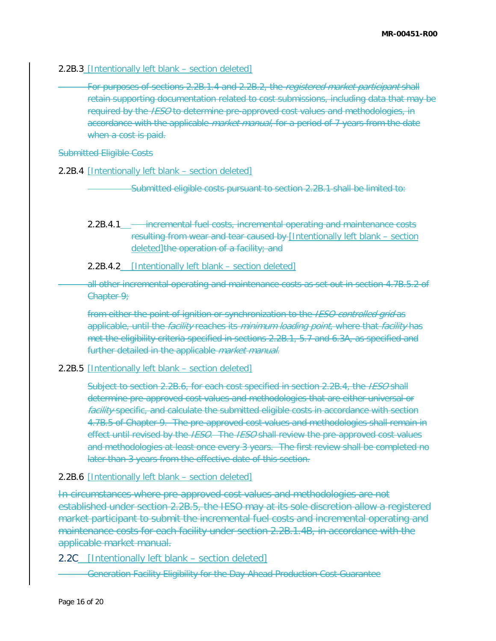#### 2.2B.3 [Intentionally left blank – section deleted]

For purposes of sections 2.2B.1.4 and 2.2B.2, the registered market participant shall retain supporting documentation related to cost submissions, including data that may be required by the *IESO* to determine pre-approved cost values and methodologies, in accordance with the applicable *market manual*, for a period of 7 years from the date when a cost is paid.

#### Submitted Eligible Costs

2.2B.4 [Intentionally left blank – section deleted]

Submitted eligible costs pursuant to section 2.2B.1 shall be limited to:

- 2.2B.4.1 incremental fuel costs, incremental operating and maintenance costs resulting from wear and tear caused by [Intentionally left blank – section deleted]the operation of a facility; and
- 2.2B.4.2 [Intentionally left blank section deleted]

all other incremental operating and maintenance costs as set out in section 4.7B.5.2 of Chapter 9;

from either the point of ignition or synchronization to the IESO-controlled grid as applicable, until the *facility* reaches its *minimum loading point*, where that *facility* has met the eligibility criteria specified in sections 2.2B.1, 5.7 and 6.3A, as specified and further detailed in the applicable *market manual*.

#### 2.2B.5 [Intentionally left blank - section deleted]

Subject to section 2.2B.6, for each cost specified in section 2.2B.4, the IESO shall determine pre-approved cost values and methodologies that are either universal or facility-specific, and calculate the submitted eligible costs in accordance with section 4.7B.5 of Chapter 9. The pre-approved cost values and methodologies shall remain in effect until revised by the *IESO*. The *IESO* shall review the pre-approved cost values and methodologies at least once every 3 years. The first review shall be completed no later than 3 years from the effective date of this section.

#### 2.2B.6 [Intentionally left blank – section deleted]

In circumstances where pre-approved cost values and methodologies are not established under section 2.2B.5, the IESO may at its sole discretion allow a registered market participant to submit the incremental fuel costs and incremental operating and maintenance costs for each facility under section 2.2B.1.4B, in accordance with the applicable market manual.

2.2C [Intentionally left blank – section deleted]

Generation Facility Eligibility for the Day-Ahead Production Cost Guarantee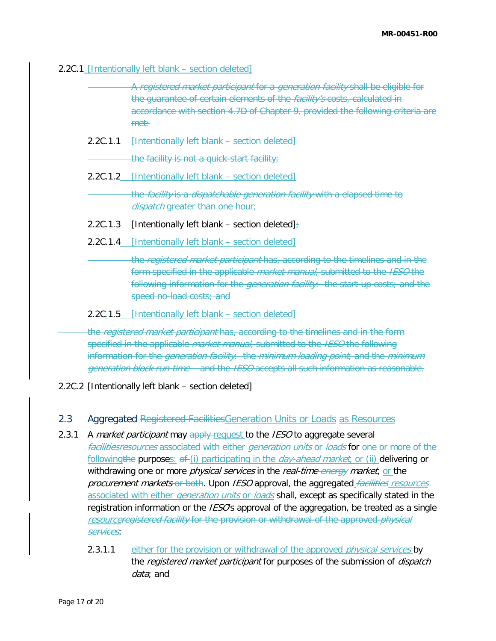#### 2.2C.1 [Intentionally left blank – section deleted]

|          | A registered market participant for a generation facility shall be eligible for<br>the guarantee of certain elements of the <i>facility's</i> costs, calculated in<br>accordance with section 4.7D of Chapter 9, provided the following criteria are<br>met:                            |
|----------|-----------------------------------------------------------------------------------------------------------------------------------------------------------------------------------------------------------------------------------------------------------------------------------------|
|          | 2.2C.1.1 [Intentionally left blank - section deleted]                                                                                                                                                                                                                                   |
|          | the facility is not a quick-start facility;                                                                                                                                                                                                                                             |
|          | 2.2C.1.2 [Intentionally left blank – section deleted]                                                                                                                                                                                                                                   |
|          | the facility is a dispatchable generation facility with a elapsed time to<br>dispatch greater than one hour;                                                                                                                                                                            |
| 2.2C.1.3 | [Intentionally left blank – section deleted] $\div$                                                                                                                                                                                                                                     |
|          | 2.2C.1.4 [Intentionally left blank – section deleted]                                                                                                                                                                                                                                   |
|          | the registered market participant has, according to the timelines and in the<br>form specified in the applicable <i>market manual</i> , submitted to the IESO the<br>following information for the <i>generation facility</i> . the start-up costs; and the<br>speed no-load costs; and |
|          | 2.2C <sub>1</sub> 1.5 [Intentionally left blank – section deleted]                                                                                                                                                                                                                      |
|          |                                                                                                                                                                                                                                                                                         |

the registered market participant has, according to the timelines and in the form specified in the applicable *market manual*, submitted to the *IESO* the following information for the *generation facility*: the minimum loading point; and the minimum generation block run-time and the IESO accepts all such information as reasonable.

2.2C.2 [Intentionally left blank – section deleted]

## 2.3 Aggregated Registered Facilities Generation Units or Loads as Resources

- 2.3.1 A market participant may apply request to the IESO to aggregate several facilitiesresources associated with either generation units or loads for one or more of the following the purposes:  $\Theta$ -(i) participating in the *day-ahead market*, or (ii) delivering or withdrawing one or more *physical services* in the *real-time energy market*, or the procurement markets or both. Upon IESO approval, the aggregated facilities resources associated with either *generation units* or *loads* shall, except as specifically stated in the registration information or the *IESO*'s approval of the aggregation, be treated as a single resourceregistered facility for the provision or withdrawal of the approved *physical* services:
	- 2.3.1.1 either for the provision or withdrawal of the approved *physical services* by the *registered market participant* for purposes of the submission of *dispatch* data; and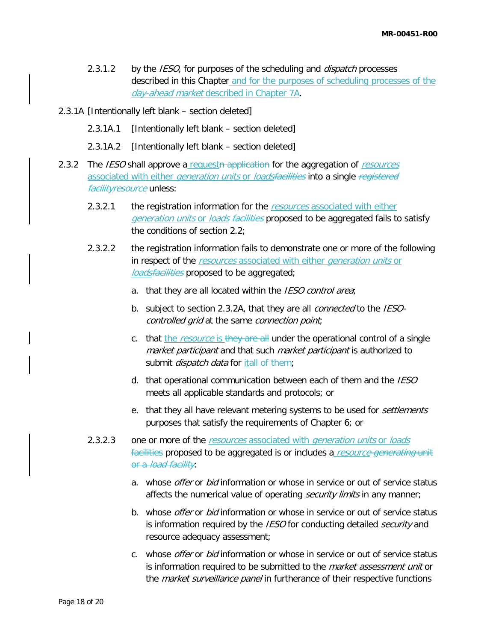- 2.3.1.2 by the *IESO*, for purposes of the scheduling and *dispatch* processes described in this Chapter and for the purposes of scheduling processes of the day-ahead market described in Chapter 7A.
- 2.3.1A [Intentionally left blank section deleted]
	- 2.3.1A.1 [Intentionally left blank section deleted]
	- 2.3.1A.2 [Intentionally left blank section deleted]
- 2.3.2 The IESO shall approve a requested application for the aggregation of resources associated with either *generation units* or *loadsfacilities* into a single registered facility resource unless:
	- 2.3.2.1 the registration information for the resources associated with either generation units or loads facilities proposed to be aggregated fails to satisfy the conditions of section 2.2;
	- 2.3.2.2 the registration information fails to demonstrate one or more of the following in respect of the resources associated with either generation units or loadsfacilities proposed to be aggregated;
		- a. that they are all located within the IESO control area;
		- b. subject to section 2.3.2A, that they are all *connected* to the *IESO*controlled grid at the same connection point;
		- c. that the resource is they are all under the operational control of a single market participant and that such market participant is authorized to submit *dispatch data* for itall of them;
		- d. that operational communication between each of them and the IESO meets all applicable standards and protocols; or
		- e. that they all have relevant metering systems to be used for *settlements* purposes that satisfy the requirements of Chapter 6; or
	- 2.3.2.3 one or more of the resources associated with generation units or loads facilities proposed to be aggregated is or includes a resource generating unit or a *load facility*:
		- a. whose offer or bid information or whose in service or out of service status affects the numerical value of operating *security limits* in any manner;
		- b. whose *offer* or *bid* information or whose in service or out of service status is information required by the IESO for conducting detailed security and resource adequacy assessment;
		- c. whose *offer* or *bid* information or whose in service or out of service status is information required to be submitted to the *market assessment unit* or the *market surveillance panel* in furtherance of their respective functions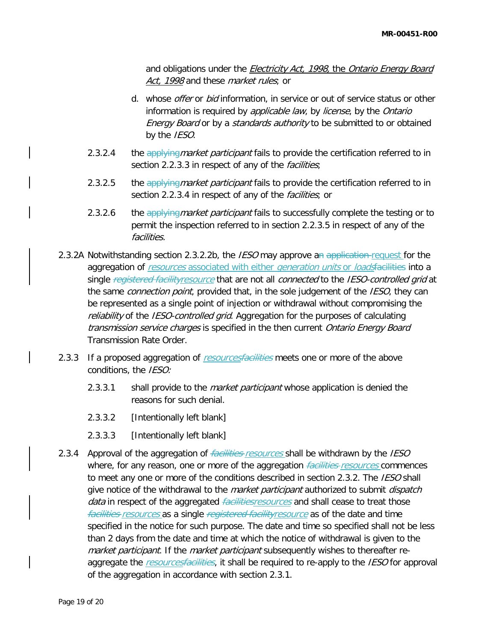and obligations under the *Electricity Act, 1998*, the Ontario Energy Board Act, 1998 and these *market rules*; or

- d. whose *offer* or *bid* information, in service or out of service status or other information is required by *applicable law*, by *license*, by the Ontario Energy Board or by a standards authority to be submitted to or obtained by the IESO.
- 2.3.2.4 the applying market participant fails to provide the certification referred to in section 2.2.3.3 in respect of any of the *facilities*;
- 2.3.2.5 the applying market participant fails to provide the certification referred to in section 2.2.3.4 in respect of any of the *facilities*; or
- 2.3.2.6 the applying market participant fails to successfully complete the testing or to permit the inspection referred to in section 2.2.3.5 in respect of any of the facilities.
- 2.3.2A Notwithstanding section 2.3.2.2b, the *IESO* may approve an application request for the aggregation of resources associated with either generation units or loadsfacilities into a single *registered facilityresource* that are not all *connected* to the *IESO-controlled grid* at the same *connection point*, provided that, in the sole judgement of the *IESO*, they can be represented as a single point of injection or withdrawal without compromising the reliability of the IESO-controlled grid. Aggregation for the purposes of calculating transmission service charges is specified in the then current Ontario Energy Board Transmission Rate Order.
- 2.3.3 If a proposed aggregation of resourcesfacilities meets one or more of the above conditions, the IESO:
	- 2.3.3.1 shall provide to the *market participant* whose application is denied the reasons for such denial.
	- 2.3.3.2 [Intentionally left blank]
	- 2.3.3.3 [Intentionally left blank]
- 2.3.4 Approval of the aggregation of *facilities resources* shall be withdrawn by the *IESO* where, for any reason, one or more of the aggregation *facilities resources* commences to meet any one or more of the conditions described in section 2.3.2. The IESO shall give notice of the withdrawal to the *market participant* authorized to submit *dispatch* data in respect of the aggregated *facilitiesresources* and shall cease to treat those facilities resources as a single registered facilityresource as of the date and time specified in the notice for such purpose. The date and time so specified shall not be less than 2 days from the date and time at which the notice of withdrawal is given to the market participant. If the market participant subsequently wishes to thereafter reaggregate the resourcesfacilities, it shall be required to re-apply to the IESO for approval of the aggregation in accordance with section 2.3.1.